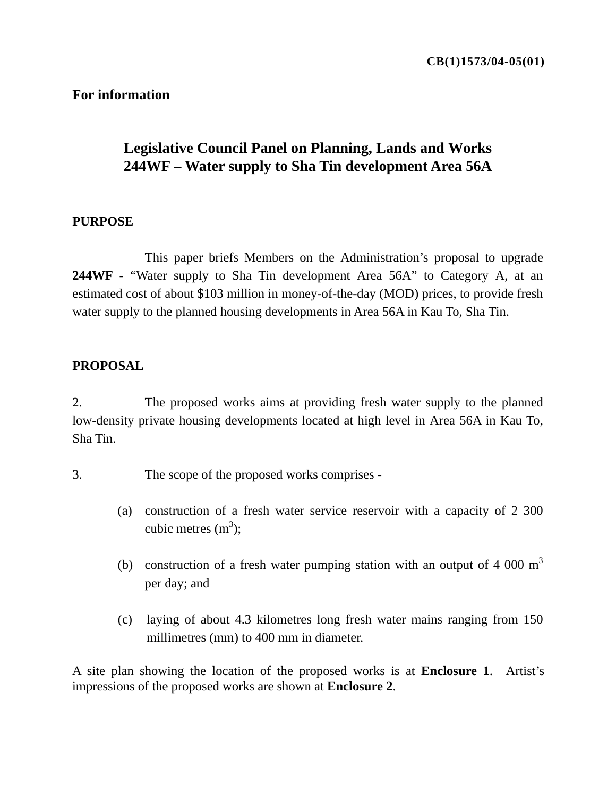### **For information**

# **Legislative Council Panel on Planning, Lands and Works 244WF – Water supply to Sha Tin development Area 56A**

#### **PURPOSE**

 This paper briefs Members on the Administration's proposal to upgrade **244WF -** "Water supply to Sha Tin development Area 56A" to Category A, at an estimated cost of about \$103 million in money-of-the-day (MOD) prices, to provide fresh water supply to the planned housing developments in Area 56A in Kau To, Sha Tin.

#### **PROPOSAL**

2. The proposed works aims at providing fresh water supply to the planned low-density private housing developments located at high level in Area 56A in Kau To, Sha Tin.

- 3. The scope of the proposed works comprises
	- (a) construction of a fresh water service reservoir with a capacity of 2 300 cubic metres  $(m^3)$ ;
	- (b) construction of a fresh water pumping station with an output of 4 000  $m<sup>3</sup>$ per day; and
	- (c) laying of about 4.3 kilometres long fresh water mains ranging from 150 millimetres (mm) to 400 mm in diameter.

A site plan showing the location of the proposed works is at **Enclosure 1**. Artist's impressions of the proposed works are shown at **Enclosure 2**.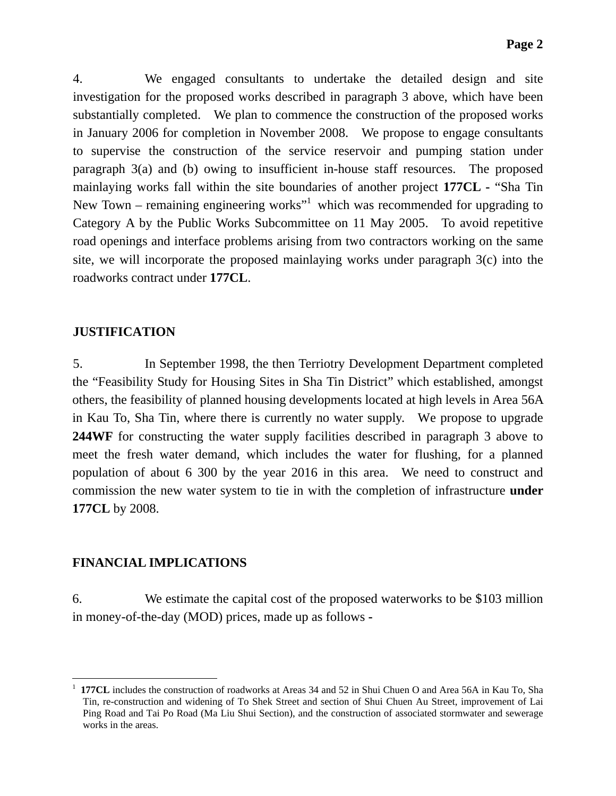4. We engaged consultants to undertake the detailed design and site investigation for the proposed works described in paragraph 3 above, which have been substantially completed. We plan to commence the construction of the proposed works in January 2006 for completion in November 2008. We propose to engage consultants to supervise the construction of the service reservoir and pumping station under paragraph 3(a) and (b) owing to insufficient in-house staff resources. The proposed mainlaying works fall within the site boundaries of another project **177CL -** "Sha Tin New Town – remaining engineering works<sup> $n<sup>1</sup>$  which was recommended for upgrading to</sup> Category A by the Public Works Subcommittee on 11 May 2005. To avoid repetitive road openings and interface problems arising from two contractors working on the same site, we will incorporate the proposed mainlaying works under paragraph 3(c) into the roadworks contract under **177CL**.

#### **JUSTIFICATION**

5. In September 1998, the then Terriotry Development Department completed the "Feasibility Study for Housing Sites in Sha Tin District" which established, amongst others, the feasibility of planned housing developments located at high levels in Area 56A in Kau To, Sha Tin, where there is currently no water supply. We propose to upgrade **244WF** for constructing the water supply facilities described in paragraph 3 above to meet the fresh water demand, which includes the water for flushing, for a planned population of about 6 300 by the year 2016 in this area. We need to construct and commission the new water system to tie in with the completion of infrastructure **under 177CL** by 2008.

### **FINANCIAL IMPLICATIONS**

 $\overline{a}$ 

6. We estimate the capital cost of the proposed waterworks to be \$103 million in money-of-the-day (MOD) prices, made up as follows **-**

<sup>1</sup> **177CL** includes the construction of roadworks at Areas 34 and 52 in Shui Chuen O and Area 56A in Kau To, Sha Tin, re-construction and widening of To Shek Street and section of Shui Chuen Au Street, improvement of Lai Ping Road and Tai Po Road (Ma Liu Shui Section), and the construction of associated stormwater and sewerage works in the areas.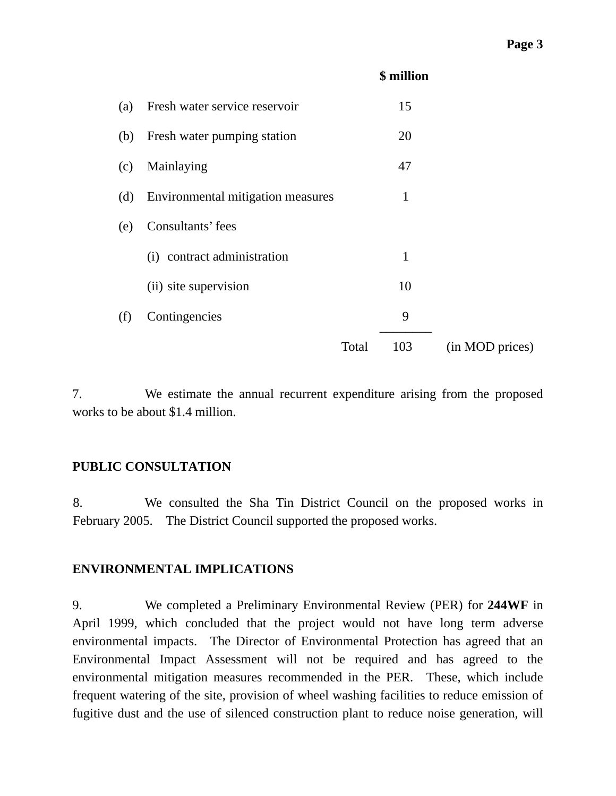| (a) | Fresh water service reservoir     |       | 15           |                 |
|-----|-----------------------------------|-------|--------------|-----------------|
| (b) | Fresh water pumping station       |       | 20           |                 |
| (c) | Mainlaying                        |       | 47           |                 |
| (d) | Environmental mitigation measures |       | $\mathbf{1}$ |                 |
| (e) | Consultants' fees                 |       |              |                 |
|     | (i) contract administration       |       | $\mathbf{1}$ |                 |
|     | (ii) site supervision             |       | 10           |                 |
| (f) | Contingencies                     |       | 9            |                 |
|     |                                   | Total | 103          | (in MOD prices) |

**\$ million**

7. We estimate the annual recurrent expenditure arising from the proposed works to be about \$1.4 million.

### **PUBLIC CONSULTATION**

8. We consulted the Sha Tin District Council on the proposed works in February 2005. The District Council supported the proposed works.

#### **ENVIRONMENTAL IMPLICATIONS**

9. We completed a Preliminary Environmental Review (PER) for **244WF** in April 1999, which concluded that the project would not have long term adverse environmental impacts. The Director of Environmental Protection has agreed that an Environmental Impact Assessment will not be required and has agreed to the environmental mitigation measures recommended in the PER. These, which include frequent watering of the site, provision of wheel washing facilities to reduce emission of fugitive dust and the use of silenced construction plant to reduce noise generation, will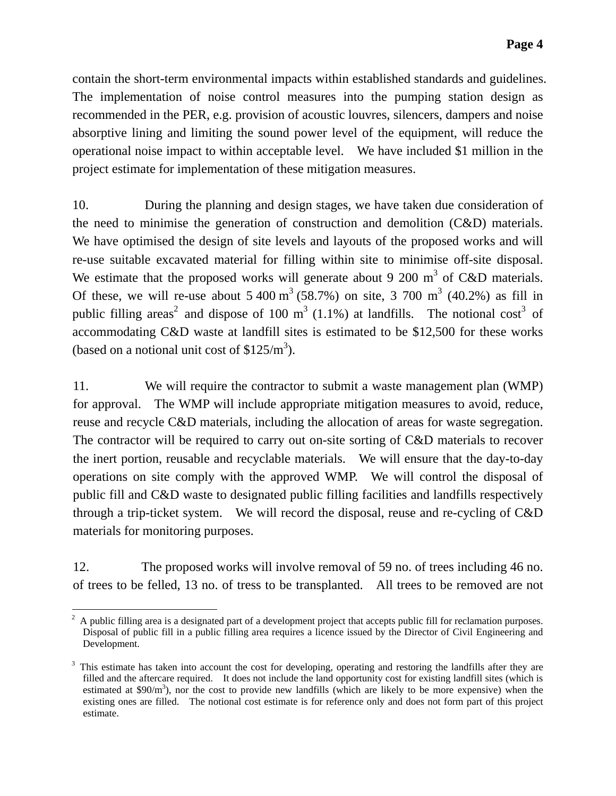contain the short-term environmental impacts within established standards and guidelines. The implementation of noise control measures into the pumping station design as recommended in the PER, e.g. provision of acoustic louvres, silencers, dampers and noise absorptive lining and limiting the sound power level of the equipment, will reduce the operational noise impact to within acceptable level. We have included \$1 million in the project estimate for implementation of these mitigation measures.

10. During the planning and design stages, we have taken due consideration of the need to minimise the generation of construction and demolition (C&D) materials. We have optimised the design of site levels and layouts of the proposed works and will re-use suitable excavated material for filling within site to minimise off-site disposal. We estimate that the proposed works will generate about 9 200  $m<sup>3</sup>$  of C&D materials. Of these, we will re-use about  $5\,400 \text{ m}^3$  (58.7%) on site,  $3\,700 \text{ m}^3$  (40.2%) as fill in public filling areas<sup>2</sup> and dispose of 100 m<sup>3</sup> (1.1%) at landfills. The notional cost<sup>3</sup> of accommodating C&D waste at landfill sites is estimated to be \$12,500 for these works (based on a notional unit cost of  $$125/m<sup>3</sup>$ ).

11. We will require the contractor to submit a waste management plan (WMP) for approval. The WMP will include appropriate mitigation measures to avoid, reduce, reuse and recycle C&D materials, including the allocation of areas for waste segregation. The contractor will be required to carry out on-site sorting of C&D materials to recover the inert portion, reusable and recyclable materials. We will ensure that the day-to-day operations on site comply with the approved WMP. We will control the disposal of public fill and C&D waste to designated public filling facilities and landfills respectively through a trip-ticket system. We will record the disposal, reuse and re-cycling of C&D materials for monitoring purposes.

12. The proposed works will involve removal of 59 no. of trees including 46 no. of trees to be felled, 13 no. of tress to be transplanted. All trees to be removed are not

 $\overline{a}$  $2$  A public filling area is a designated part of a development project that accepts public fill for reclamation purposes. Disposal of public fill in a public filling area requires a licence issued by the Director of Civil Engineering and Development.

 $3$  This estimate has taken into account the cost for developing, operating and restoring the landfills after they are filled and the aftercare required. It does not include the land opportunity cost for existing landfill sites (which is estimated at  $$90/m<sup>3</sup>$ ), nor the cost to provide new landfills (which are likely to be more expensive) when the existing ones are filled. The notional cost estimate is for reference only and does not form part of this project estimate.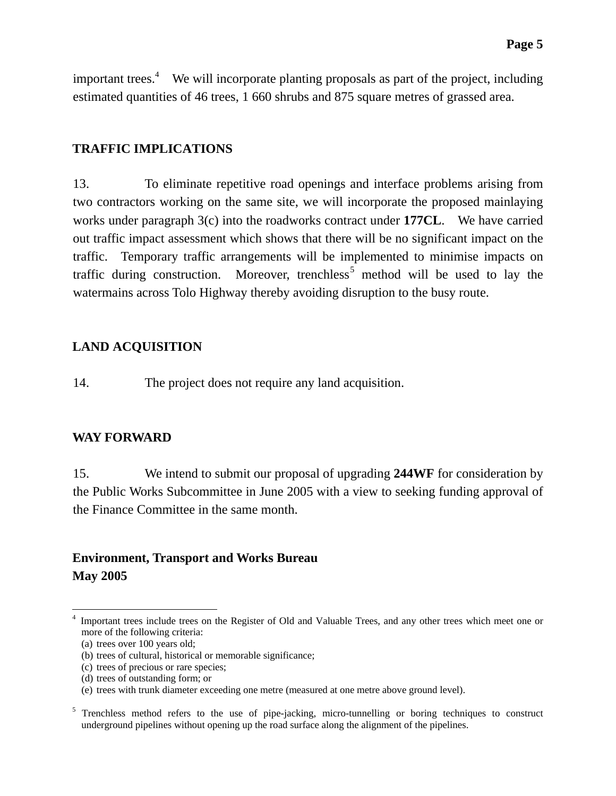important trees.<sup>4</sup> We will incorporate planting proposals as part of the project, including estimated quantities of 46 trees, 1 660 shrubs and 875 square metres of grassed area.

### **TRAFFIC IMPLICATIONS**

13. To eliminate repetitive road openings and interface problems arising from two contractors working on the same site, we will incorporate the proposed mainlaying works under paragraph 3(c) into the roadworks contract under **177CL**. We have carried out traffic impact assessment which shows that there will be no significant impact on the traffic. Temporary traffic arrangements will be implemented to minimise impacts on traffic during construction. Moreover, trenchless<sup>5</sup> method will be used to lay the watermains across Tolo Highway thereby avoiding disruption to the busy route.

## **LAND ACQUISITION**

14. The project does not require any land acquisition.

### **WAY FORWARD**

15. We intend to submit our proposal of upgrading **244WF** for consideration by the Public Works Subcommittee in June 2005 with a view to seeking funding approval of the Finance Committee in the same month.

# **Environment, Transport and Works Bureau May 2005**

 $\overline{a}$ 

<sup>4</sup> Important trees include trees on the Register of Old and Valuable Trees, and any other trees which meet one or more of the following criteria:

<sup>(</sup>a) trees over 100 years old;

<sup>(</sup>b) trees of cultural, historical or memorable significance;

<sup>(</sup>c) trees of precious or rare species;

<sup>(</sup>d) trees of outstanding form; or

<sup>(</sup>e) trees with trunk diameter exceeding one metre (measured at one metre above ground level).

<sup>&</sup>lt;sup>5</sup> Trenchless method refers to the use of pipe-jacking, micro-tunnelling or boring techniques to construct underground pipelines without opening up the road surface along the alignment of the pipelines.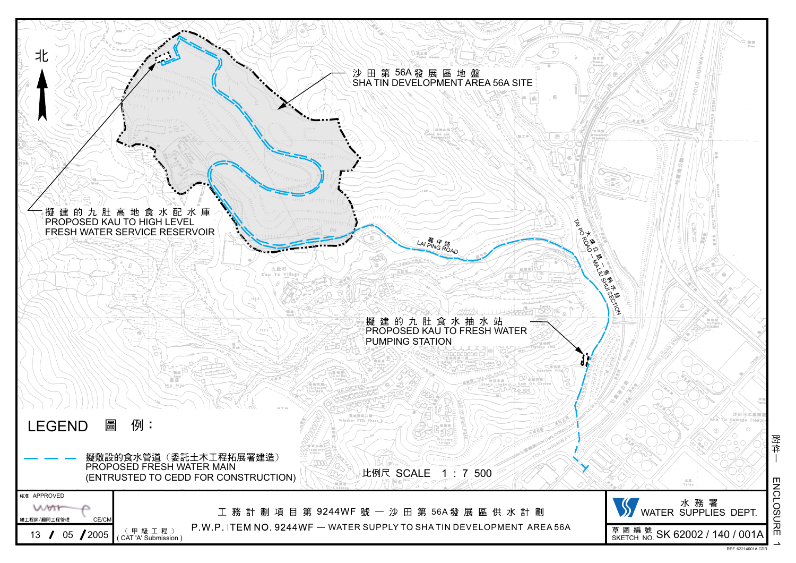

**ENCLOSURE** ENCLOSURE

附件

ے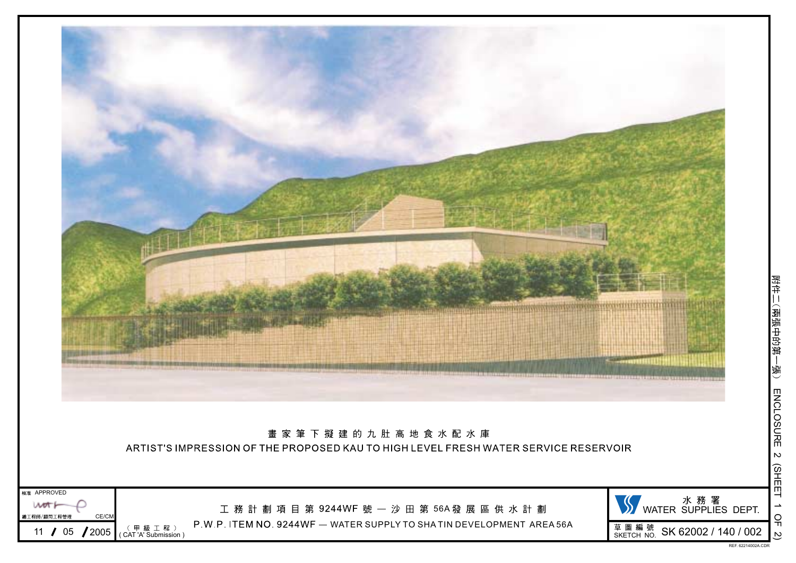

附件二(兩張中的第-—張)<br>(新 **ENCLOSURE** ENCLOSURE $\mathsf{\omega}$  (SHEETد OF2)